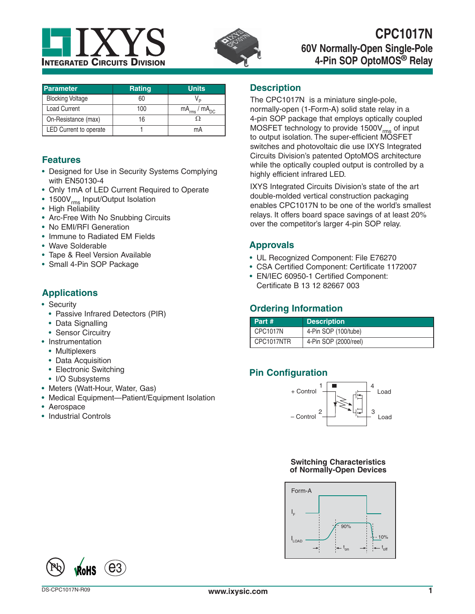



# **CPC1017N 60V Normally-Open Single-Pole 4-Pin SOP OptoMOS® Relay**

| Parameter                     | <b>Rating</b> | <b>Units</b>           |
|-------------------------------|---------------|------------------------|
| <b>Blocking Voltage</b>       | 60            |                        |
| <b>Load Current</b>           | 100           | $mA_{rms}$ / $mA_{DC}$ |
| On-Resistance (max)           | 16            |                        |
| <b>LED Current to operate</b> |               | mΑ                     |

## **Features**

- Designed for Use in Security Systems Complying with EN50130-4
- Only 1mA of LED Current Required to Operate
- 1500V<sub>rms</sub> Input/Output Isolation
- High Reliability
- Arc-Free With No Snubbing Circuits
- No EMI/RFI Generation
- Immune to Radiated EM Fields
- Wave Solderable
- Tape & Reel Version Available
- Small 4-Pin SOP Package

## **Applications**

- Security
	- Passive Infrared Detectors (PIR)
	- Data Signalling
- Sensor Circuitry
- Instrumentation
	- Multiplexers
	- Data Acquisition
	- Electronic Switching
	- I/O Subsystems
- Meters (Watt-Hour, Water, Gas)
- Medical Equipment—Patient/Equipment Isolation
- Aerospace
- Industrial Controls

### **Description**

The CPC1017N is a miniature single-pole, normally-open (1-Form-A) solid state relay in a 4-pin SOP package that employs optically coupled MOSFET technology to provide 1500V<sub>rms</sub> of input to output isolation. The super-efficient MOSFET switches and photovoltaic die use IXYS Integrated Circuits Division's patented OptoMOS architecture while the optically coupled output is controlled by a highly efficient infrared LED.

IXYS Integrated Circuits Division's state of the art double-molded vertical construction packaging enables CPC1017N to be one of the world's smallest relays. It offers board space savings of at least 20% over the competitor's larger 4-pin SOP relay.

## **Approvals**

- UL Recognized Component: File E76270
- CSA Certified Component: Certificate 1172007
- EN/IEC 60950-1 Certified Component: Certificate B 13 12 82667 003

## **Ordering Information**

| Part #          | <b>Description</b>    |
|-----------------|-----------------------|
| <b>CPC1017N</b> | 4-Pin SOP (100/tube)  |
| CPC1017NTR      | 4-Pin SOP (2000/reel) |

## **Pin Configuration**



### **Switching Characteristics of Normally-Open Devices**

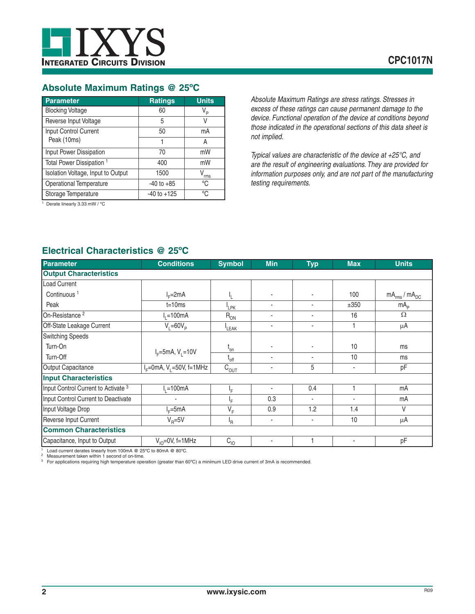### **Absolute Maximum Ratings @ 25ºC**

| <b>Parameter</b>                     | <b>Ratings</b>  | <b>Units</b>   |
|--------------------------------------|-----------------|----------------|
| <b>Blocking Voltage</b>              | 60              | V <sub>P</sub> |
| Reverse Input Voltage                | 5               | V              |
| Input Control Current                | 50              | mA             |
| Peak (10ms)                          | 1               | Α              |
| Input Power Dissipation              | 70              | mW             |
| Total Power Dissipation <sup>1</sup> | 400             | mW             |
| Isolation Voltage, Input to Output   | 1500            | rms            |
| Operational Temperature              | $-40$ to $+85$  | °C             |
| Storage Temperature                  | $-40$ to $+125$ | °C             |

<sup>1</sup> Derate linearly 3.33 mW / °C

*Absolute Maximum Ratings are stress ratings. Stresses in excess of these ratings can cause permanent damage to the device. Functional operation of the device at conditions beyond those indicated in the operational sections of this data sheet is not implied.*

*Typical values are characteristic of the device at +25°C, and are the result of engineering evaluations. They are provided for information purposes only, and are not part of the manufacturing testing requirements.*

## **Electrical Characteristics @ 25ºC**

| Parameter                                      | <b>Conditions</b>        | <b>Symbol</b>    | <b>Min</b> | <b>Typ</b> | <b>Max</b>               | <b>Units</b>           |
|------------------------------------------------|--------------------------|------------------|------------|------------|--------------------------|------------------------|
| <b>Output Characteristics</b>                  |                          |                  |            |            |                          |                        |
| <b>Load Current</b>                            |                          |                  |            |            |                          |                        |
| Continuous <sup>1</sup>                        | $I_F=2mA$                |                  |            |            | 100                      | $mA_{rms}$ / $mA_{DC}$ |
| Peak                                           | $t = 10ms$               | <sup>I</sup> LPK |            |            | ±350                     | mA <sub>p</sub>        |
| On-Resistance <sup>2</sup>                     | $I1=100mA$               | $R_{ON}$         |            |            | 16                       | $\Omega$               |
| Off-State Leakage Current                      | $V_1 = 60V_p$            | LEAK             | ٠          |            |                          | $\mu$ A                |
| <b>Switching Speeds</b>                        |                          |                  |            |            |                          |                        |
| Turn-On                                        |                          | $t_{on}$         |            |            | 10                       | ms                     |
| Turn-Off                                       | $I_F = 5mA, V_1 = 10V$   | $t_{off}$        | ٠          |            | 10                       | ms                     |
| Output Capacitance                             | $IF=0mA, V1=50V, f=1MHz$ | $C_{OUT}$        | ٠          | 5          | $\overline{\phantom{a}}$ | pF                     |
| <b>Input Characteristics</b>                   |                          |                  |            |            |                          |                        |
| Input Control Current to Activate <sup>3</sup> | $I1=100mA$               | ١F               | ٠          | 0.4        |                          | mA                     |
| Input Control Current to Deactivate            |                          | ١F.              | 0.3        | ۰          | ٠                        | mA                     |
| Input Voltage Drop                             | $I_c = 5mA$              | $V_F$            | 0.9        | 1.2        | 1.4                      | V                      |
| Reverse Input Current                          | $V_{\rm B} = 5V$         | <sup>I</sup> R   | ٠          | ٠          | 10                       | μA                     |
| <b>Common Characteristics</b>                  |                          |                  |            |            |                          |                        |
| Capacitance, Input to Output                   | $V_{10} = 0V$ , f=1MHz   | $C_{10}$         | ٠          |            | $\overline{\phantom{a}}$ | pF                     |

Load current derates linearly from 100mA @ 25°C to 80mA @ 80°C.

Example 1 Load current derates linearly from Tuvilin to the<br>
<sup>2</sup> Measurement taken within 1 second of on-time.<br>
<sup>2</sup> Measurement taken within high temperature ope 3 For applications requiring high temperature operation (greater than 60ºC) a minimum LED drive current of 3mA is recommended.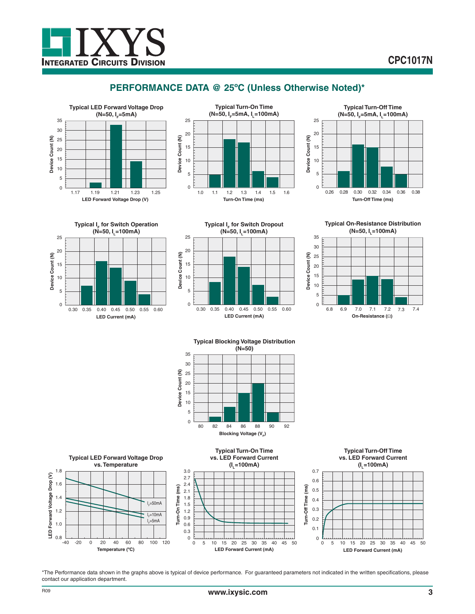

## **PERFORMANCE DATA @ 25ºC (Unless Otherwise Noted)\***











**Typical On-Resistance Distribution (N=50, I<sub>1</sub>=100mA)** 



**Typical Blocking Voltage Distribution (N=50)**





\*The Performance data shown in the graphs above is typical of device performance. For guaranteed parameters not indicated in the written specifications, please contact our application department.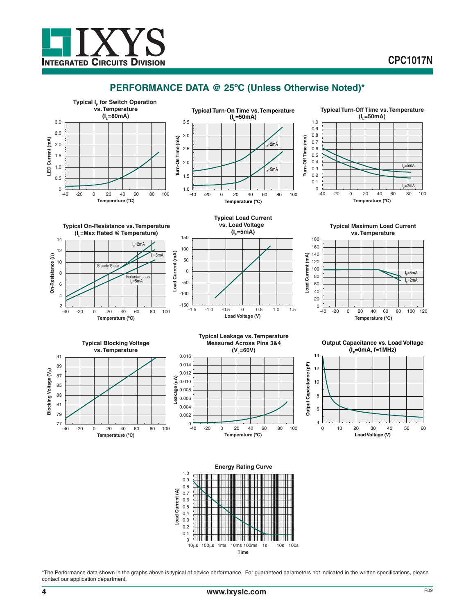



**INTEGRATED CIRCUITS DIVISION** 



**Time**  $100\mu s$  1ms 10ms 100ms 1s 10s 100s

\*The Performance data shown in the graphs above is typical of device performance. For guaranteed parameters not indicated in the written specifications, please contact our application department.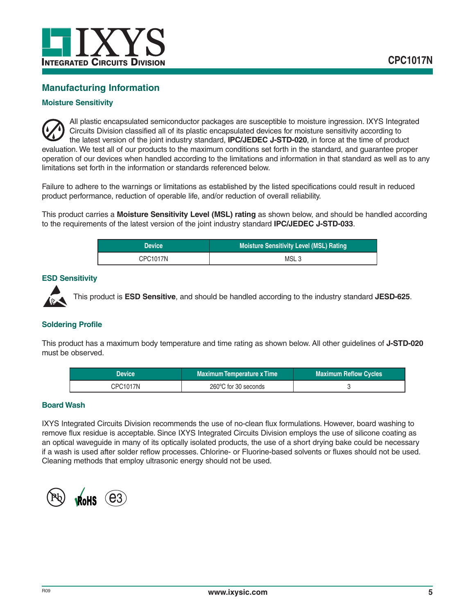

## **Manufacturing Information**

### **Moisture Sensitivity**

All plastic encapsulated semiconductor packages are susceptible to moisture ingression. IXYS Integrated Circuits Division classified all of its plastic encapsulated devices for moisture sensitivity according to the latest version of the joint industry standard, **IPC/JEDEC J-STD-020**, in force at the time of product evaluation. We test all of our products to the maximum conditions set forth in the standard, and guarantee proper operation of our devices when handled according to the limitations and information in that standard as well as to any limitations set forth in the information or standards referenced below.

Failure to adhere to the warnings or limitations as established by the listed specifications could result in reduced product performance, reduction of operable life, and/or reduction of overall reliability.

This product carries a **Moisture Sensitivity Level (MSL) rating** as shown below, and should be handled according to the requirements of the latest version of the joint industry standard **IPC/JEDEC J-STD-033**.

| 'Device <sub>'</sub> | Moisture Sensitivity Level (MSL) Rating |  |
|----------------------|-----------------------------------------|--|
| CPC1017N             | MSL <sub>3</sub>                        |  |

### **ESD Sensitivity**



This product is **ESD Sensitive**, and should be handled according to the industry standard **JESD-625**.

### **Soldering Profile**

This product has a maximum body temperature and time rating as shown below. All other guidelines of **J-STD-020** must be observed.

| <b>Device</b>   | <b>Maximum Temperature x Time</b> | <b>Maximum Reflow Cycles</b> |
|-----------------|-----------------------------------|------------------------------|
| <b>CPC1017N</b> | 260°C for 30 seconds              |                              |

### **Board Wash**

IXYS Integrated Circuits Division recommends the use of no-clean flux formulations. However, board washing to remove flux residue is acceptable. Since IXYS Integrated Circuits Division employs the use of silicone coating as an optical waveguide in many of its optically isolated products, the use of a short drying bake could be necessary if a wash is used after solder reflow processes. Chlorine- or Fluorine-based solvents or fluxes should not be used. Cleaning methods that employ ultrasonic energy should not be used.